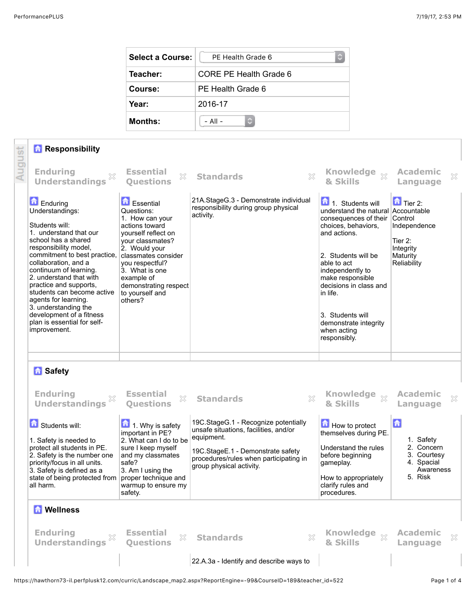| <b>Select a Course:</b> | PF Health Grade 6      |  |  |
|-------------------------|------------------------|--|--|
| Teacher:                | CORE PE Health Grade 6 |  |  |
| Course:                 | PE Health Grade 6      |  |  |
| Year:                   | 2016-17                |  |  |
| <b>Months:</b>          | - All -<br>С           |  |  |

## *A* Responsibility

|        | <b>Responsibility</b>                                                                                                                                                                                                                                                                                                                                                                                                          |                                                                                                                                                                                                                                                                  |                                                                                                                                                                                                        |                                                                                                                                                                                                                                                                                                                                |                                                                                   |
|--------|--------------------------------------------------------------------------------------------------------------------------------------------------------------------------------------------------------------------------------------------------------------------------------------------------------------------------------------------------------------------------------------------------------------------------------|------------------------------------------------------------------------------------------------------------------------------------------------------------------------------------------------------------------------------------------------------------------|--------------------------------------------------------------------------------------------------------------------------------------------------------------------------------------------------------|--------------------------------------------------------------------------------------------------------------------------------------------------------------------------------------------------------------------------------------------------------------------------------------------------------------------------------|-----------------------------------------------------------------------------------|
| August | <b>Enduring</b><br>83<br><b>Understandings</b>                                                                                                                                                                                                                                                                                                                                                                                 | <b>Essential</b><br>X<br><b>Ouestions</b>                                                                                                                                                                                                                        | $\gtrsim$<br><b>Standards</b>                                                                                                                                                                          | Knowledge xx<br>& Skills                                                                                                                                                                                                                                                                                                       | <b>Academic</b><br>$\boldsymbol{\mathcal{Z}}$<br>Language                         |
|        | <b>Enduring</b><br>Understandings:<br>Students will:<br>1. understand that our<br>school has a shared<br>responsibility model,<br>commitment to best practice,<br>collaboration, and a<br>continuum of learning.<br>2. understand that with<br>practice and supports,<br>students can become active<br>agents for learning.<br>3. understanding the<br>development of a fitness<br>plan is essential for self-<br>improvement. | <b>Essential</b><br>Questions:<br>1. How can your<br>actions toward<br>yourself reflect on<br>your classmates?<br>2. Would your<br>classmates consider<br>you respectful?<br>3. What is one<br>example of<br>demonstrating respect<br>to yourself and<br>others? | 21A.StageG.3 - Demonstrate individual<br>responsibility during group physical<br>activity.                                                                                                             | 1. Students will<br>understand the natural Accountable<br>consequences of their Control<br>choices, behaviors.<br>and actions.<br>2. Students will be<br>able to act<br>independently to<br>make responsible<br>decisions in class and<br>in life.<br>3. Students will<br>demonstrate integrity<br>when acting<br>responsibly. | $\Box$ Tier 2:<br>Independence<br>Tier 2:<br>Integrity<br>Maturity<br>Reliability |
|        |                                                                                                                                                                                                                                                                                                                                                                                                                                |                                                                                                                                                                                                                                                                  |                                                                                                                                                                                                        |                                                                                                                                                                                                                                                                                                                                |                                                                                   |
|        | <b>R</b> Safety<br><b>Enduring</b><br>X<br><b>Understandings</b>                                                                                                                                                                                                                                                                                                                                                               | <b>Essential</b><br>X<br><b>Questions</b>                                                                                                                                                                                                                        | X<br><b>Standards</b>                                                                                                                                                                                  | Knowledge<br>$\chi$<br>& Skills                                                                                                                                                                                                                                                                                                | <b>Academic</b><br>×<br>Language                                                  |
|        | Students will:<br>1. Safety is needed to<br>protect all students in PE.<br>2. Safety is the number one<br>priority/focus in all units.<br>3. Safety is defined as a<br>state of being protected from<br>all harm.                                                                                                                                                                                                              | 1. Why is safety<br>important in PE?<br>2. What can I do to be<br>sure I keep myself<br>and my classmates<br>safe?<br>3. Am I using the<br>proper technique and<br>warmup to ensure my<br>safety.                                                                | 19C.StageG.1 - Recognize potentially<br>unsafe situations, facilities, and/or<br>equipment.<br>19C.StageE.1 - Demonstrate safety<br>procedures/rules when participating in<br>group physical activity. | How to protect<br>themselves during PE.<br>Understand the rules<br>before beginning<br>gameplay.<br>How to appropriately<br>clarify rules and<br>procedures.                                                                                                                                                                   | 습<br>1. Safety<br>2. Concern<br>3. Courtesy<br>4. Spacial<br>Awareness<br>5. Risk |
|        | <b>Mellness</b>                                                                                                                                                                                                                                                                                                                                                                                                                |                                                                                                                                                                                                                                                                  |                                                                                                                                                                                                        |                                                                                                                                                                                                                                                                                                                                |                                                                                   |
|        | <b>Enduring</b><br><b>Understandings</b>                                                                                                                                                                                                                                                                                                                                                                                       | <b>Essential</b><br>X<br><b>Ouestions</b>                                                                                                                                                                                                                        | <b>Standards</b><br>X                                                                                                                                                                                  | Knowledge $\frac{1}{2}$<br>& Skills                                                                                                                                                                                                                                                                                            | <b>Academic</b><br>×<br>Language                                                  |
|        |                                                                                                                                                                                                                                                                                                                                                                                                                                |                                                                                                                                                                                                                                                                  | 22.A.3a - Identify and describe ways to                                                                                                                                                                |                                                                                                                                                                                                                                                                                                                                |                                                                                   |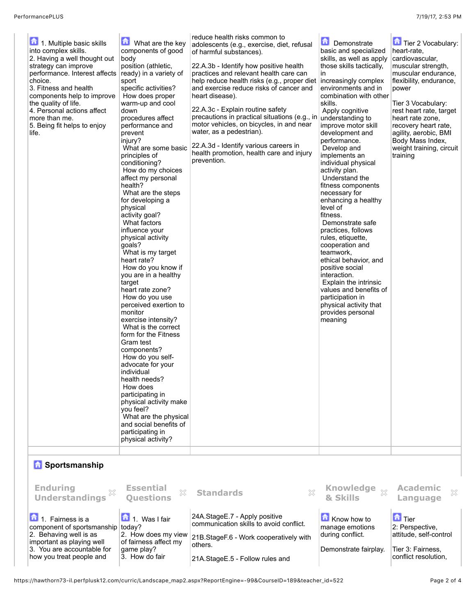| 1. Multiple basic skills<br>into complex skills.<br>2. Having a well thought out<br>strategy can improve<br>performance. Interest affects<br>choice.<br>3. Fitness and health<br>components help to improve<br>the quality of life.<br>4. Personal actions affect<br>more than me.<br>5. Being fit helps to enjoy<br>life. | 侖<br>What are the key<br>components of good<br>body<br>position (athletic,<br>ready) in a variety of<br>sport<br>specific activities?<br>How does proper<br>warm-up and cool<br>down<br>procedures affect<br>performance and<br>prevent<br>injury?<br>What are some basic<br>principles of<br>conditioning?<br>How do my choices<br>affect my personal<br>health?<br>What are the steps<br>for developing a<br>physical<br>activity goal?<br>What factors<br>influence your<br>physical activity<br>qoals?<br>What is my target<br>heart rate?<br>How do you know if<br>you are in a healthy<br>target<br>heart rate zone?<br>How do you use<br>perceived exertion to<br>monitor<br>exercise intensity?<br>What is the correct<br>form for the Fitness<br>Gram test<br>components?<br>How do you self-<br>advocate for your<br>individual<br>health needs?<br>How does<br>participating in<br>physical activity make<br>you feel?<br>What are the physical<br>and social benefits of<br>participating in<br>physical activity? | reduce health risks common to<br>adolescents (e.g., exercise, diet, refusal<br>of harmful substances).<br>22.A.3b - Identify how positive health<br>practices and relevant health care can<br>help reduce health risks (e.g., proper diet<br>and exercise reduce risks of cancer and<br>heart disease).<br>22.A.3c - Explain routine safety<br>precautions in practical situations (e.g., in<br>motor vehicles, on bicycles, in and near<br>water, as a pedestrian).<br>22.A.3d - Identify various careers in<br>health promotion, health care and injury<br>prevention. | £<br>Demonstrate<br>basic and specialized<br>skills, as well as apply<br>those skills tactically,<br>in<br>increasingly complex<br>environments and in<br>combination with other<br>skills.<br>Apply cognitive<br>understanding to<br>improve motor skill<br>development and<br>performance.<br>Develop and<br>implements an<br>individual physical<br>activity plan.<br>Understand the<br>fitness components<br>necessary for<br>enhancing a healthy<br>level of<br>fitness.<br>Demonstrate safe<br>practices, follows<br>rules, etiquette,<br>cooperation and<br>teamwork,<br>ethical behavior, and<br>positive social<br>interaction.<br>Explain the intrinsic<br>values and benefits of<br>participation in<br>physical activity that<br>provides personal<br>meaning | Tier 2 Vocabulary:<br>heart-rate,<br>cardiovascular,<br>muscular strength,<br>muscular endurance,<br>flexibility, endurance,<br>power<br>Tier 3 Vocabulary:<br>rest heart rate, target<br>heart rate zone,<br>recovery heart rate,<br>agility, aerobic, BMI<br>Body Mass Index,<br>weight training, circuit<br>training |  |
|----------------------------------------------------------------------------------------------------------------------------------------------------------------------------------------------------------------------------------------------------------------------------------------------------------------------------|--------------------------------------------------------------------------------------------------------------------------------------------------------------------------------------------------------------------------------------------------------------------------------------------------------------------------------------------------------------------------------------------------------------------------------------------------------------------------------------------------------------------------------------------------------------------------------------------------------------------------------------------------------------------------------------------------------------------------------------------------------------------------------------------------------------------------------------------------------------------------------------------------------------------------------------------------------------------------------------------------------------------------------|--------------------------------------------------------------------------------------------------------------------------------------------------------------------------------------------------------------------------------------------------------------------------------------------------------------------------------------------------------------------------------------------------------------------------------------------------------------------------------------------------------------------------------------------------------------------------|---------------------------------------------------------------------------------------------------------------------------------------------------------------------------------------------------------------------------------------------------------------------------------------------------------------------------------------------------------------------------------------------------------------------------------------------------------------------------------------------------------------------------------------------------------------------------------------------------------------------------------------------------------------------------------------------------------------------------------------------------------------------------|-------------------------------------------------------------------------------------------------------------------------------------------------------------------------------------------------------------------------------------------------------------------------------------------------------------------------|--|
| <b>B</b> Sportsmanship<br><b>Enduring</b>                                                                                                                                                                                                                                                                                  | <b>Essential</b><br>X                                                                                                                                                                                                                                                                                                                                                                                                                                                                                                                                                                                                                                                                                                                                                                                                                                                                                                                                                                                                          | ×<br><b>Standards</b>                                                                                                                                                                                                                                                                                                                                                                                                                                                                                                                                                    | Knowledge xx                                                                                                                                                                                                                                                                                                                                                                                                                                                                                                                                                                                                                                                                                                                                                              | <b>Academic</b><br>×                                                                                                                                                                                                                                                                                                    |  |
| <b>Understandings</b><br>1. Fairness is a                                                                                                                                                                                                                                                                                  | <b>Ouestions</b><br>1. Was I fair                                                                                                                                                                                                                                                                                                                                                                                                                                                                                                                                                                                                                                                                                                                                                                                                                                                                                                                                                                                              | 24A.StageE.7 - Apply positive                                                                                                                                                                                                                                                                                                                                                                                                                                                                                                                                            | & Skills<br>Know how to                                                                                                                                                                                                                                                                                                                                                                                                                                                                                                                                                                                                                                                                                                                                                   | Language<br><b>n</b> Tier                                                                                                                                                                                                                                                                                               |  |
| component of sportsmanship<br>2. Behaving well is as<br>important as playing well<br>3. You are accountable for<br>how you treat people and                                                                                                                                                                                | today?<br>2. How does my view<br>of fairness affect my<br>game play?<br>3. How do fair                                                                                                                                                                                                                                                                                                                                                                                                                                                                                                                                                                                                                                                                                                                                                                                                                                                                                                                                         | communication skills to avoid conflict.<br>21B.StageF.6 - Work cooperatively with<br>others.<br>21A.StageE.5 - Follow rules and                                                                                                                                                                                                                                                                                                                                                                                                                                          | manage emotions<br>during conflict.<br>Demonstrate fairplay.                                                                                                                                                                                                                                                                                                                                                                                                                                                                                                                                                                                                                                                                                                              | 2: Perspective,<br>attitude, self-control<br>Tier 3: Fairness,<br>conflict resolution,                                                                                                                                                                                                                                  |  |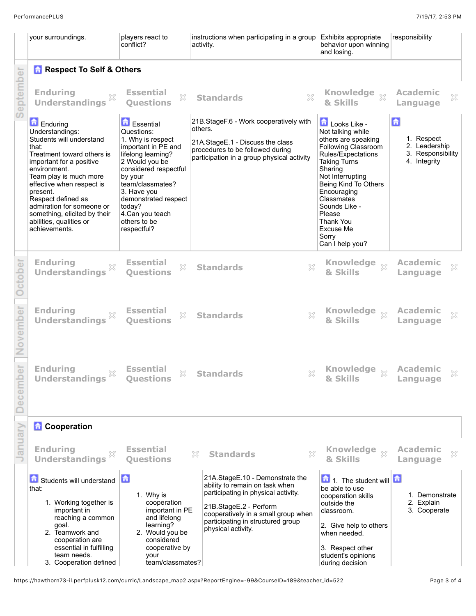f.

|                                                                                                                                                                                         | your surroundings.                                                                                                                                                                                                                                                                                                                           | players react to<br>conflict?                                                                                                                                                                                                                                                 | instructions when participating in a group<br>activity.                                                                                                                                                                              | Exhibits appropriate<br>behavior upon winning<br>and losing.                                                                                                                                                                                                                                      | responsibility                                                        |
|-----------------------------------------------------------------------------------------------------------------------------------------------------------------------------------------|----------------------------------------------------------------------------------------------------------------------------------------------------------------------------------------------------------------------------------------------------------------------------------------------------------------------------------------------|-------------------------------------------------------------------------------------------------------------------------------------------------------------------------------------------------------------------------------------------------------------------------------|--------------------------------------------------------------------------------------------------------------------------------------------------------------------------------------------------------------------------------------|---------------------------------------------------------------------------------------------------------------------------------------------------------------------------------------------------------------------------------------------------------------------------------------------------|-----------------------------------------------------------------------|
|                                                                                                                                                                                         | <b>Respect To Self &amp; Others</b>                                                                                                                                                                                                                                                                                                          |                                                                                                                                                                                                                                                                               |                                                                                                                                                                                                                                      |                                                                                                                                                                                                                                                                                                   |                                                                       |
| <b>Enduring</b><br><b>Essential</b><br><b>Knowledge</b><br><b>Academic</b><br>$\chi$<br>×<br>X<br><b>Standards</b><br><b>Understandings</b><br><b>Ouestions</b><br>& Skills<br>Language |                                                                                                                                                                                                                                                                                                                                              |                                                                                                                                                                                                                                                                               |                                                                                                                                                                                                                                      |                                                                                                                                                                                                                                                                                                   |                                                                       |
|                                                                                                                                                                                         | Enduring<br>Understandings:<br>Students will understand<br>that:<br>Treatment toward others is<br>important for a positive<br>environment.<br>Team play is much more<br>effective when respect is<br>present.<br>Respect defined as<br>admiration for someone or<br>something, elicited by their<br>abilities, qualities or<br>achievements. | <b>Essential</b><br>Questions:<br>1. Why is respect<br>important in PE and<br>lifelong learning?<br>2 Would you be<br>considered respectful<br>by your<br>team/classmates?<br>3. Have you<br>demonstrated respect<br>today?<br>4.Can you teach<br>others to be<br>respectful? | 21B.StageF.6 - Work cooperatively with<br>others.<br>21A.StageE.1 - Discuss the class<br>procedures to be followed during<br>participation in a group physical activity                                                              | Looks Like -<br>Not talking while<br>others are speaking<br>Following Classroom<br>Rules/Expectations<br><b>Taking Turns</b><br>Sharing<br>Not Interrupting<br>Being Kind To Others<br>Encouraging<br>Classmates<br>Sounds Like -<br>Please<br>Thank You<br>Excuse Me<br>Sorry<br>Can I help you? | 合<br>1. Respect<br>2. Leadership<br>3. Responsibility<br>4. Integrity |
|                                                                                                                                                                                         | <b>Enduring</b><br>×<br><b>Understandings</b>                                                                                                                                                                                                                                                                                                | <b>Essential</b><br>×<br><b>Ouestions</b>                                                                                                                                                                                                                                     | X<br><b>Standards</b>                                                                                                                                                                                                                | <b>Knowledge</b><br>$^{22}$<br>& Skills                                                                                                                                                                                                                                                           | <b>Academic</b><br>×<br>Language                                      |
|                                                                                                                                                                                         | <b>Enduring</b><br><b>Understandings</b>                                                                                                                                                                                                                                                                                                     | <b>Essential</b><br>X<br><b>Ouestions</b>                                                                                                                                                                                                                                     | ×<br><b>Standards</b>                                                                                                                                                                                                                | <b>Knowledge</b><br>$\chi$<br>& Skills                                                                                                                                                                                                                                                            | <b>Academic</b><br>×<br>Language                                      |
|                                                                                                                                                                                         | <b>Enduring</b><br><b>Understandings</b>                                                                                                                                                                                                                                                                                                     | <b>Essential</b><br>×<br>Questions                                                                                                                                                                                                                                            | 942<br><b>Standards</b>                                                                                                                                                                                                              | Knowledge of<br>& Skills                                                                                                                                                                                                                                                                          | <b>Academic</b><br>Language                                           |
|                                                                                                                                                                                         | <b>Cooperation</b>                                                                                                                                                                                                                                                                                                                           |                                                                                                                                                                                                                                                                               |                                                                                                                                                                                                                                      |                                                                                                                                                                                                                                                                                                   |                                                                       |
|                                                                                                                                                                                         | <b>Enduring</b><br><b>Understandings</b>                                                                                                                                                                                                                                                                                                     | <b>Essential</b><br><b>Questions</b>                                                                                                                                                                                                                                          | X<br><b>Standards</b><br>X                                                                                                                                                                                                           | <b>Knowledge</b><br>$^{22}$<br>& Skills                                                                                                                                                                                                                                                           | <b>Academic</b><br>×<br>Language                                      |
|                                                                                                                                                                                         | Students will understand<br>that:<br>1. Working together is<br>important in<br>reaching a common<br>goal.<br>2. Teamwork and<br>cooperation are<br>essential in fulfilling<br>team needs.<br>3. Cooperation defined                                                                                                                          | 情<br>1. Why is<br>cooperation<br>important in PE<br>and lifelong<br>learning?<br>2. Would you be<br>considered<br>cooperative by<br>your<br>team/classmates?                                                                                                                  | 21A.StageE.10 - Demonstrate the<br>ability to remain on task when<br>participating in physical activity.<br>21B.StageE.2 - Perform<br>cooperatively in a small group when<br>participating in structured group<br>physical activity. | 1. The student will<br>尙<br>be able to use<br>cooperation skills<br>outside the<br>classroom.<br>2. Give help to others<br>when needed.<br>3. Respect other<br>student's opinions<br>during decision                                                                                              | 1. Demonstrate<br>2. Explain<br>3. Cooperate                          |

https://hawthorn73-il.perfplusk12.com/curric/Landscape\_map2.aspx?ReportEngine=-99&CourseID=189&teacher\_id=522 Page 3 of 4